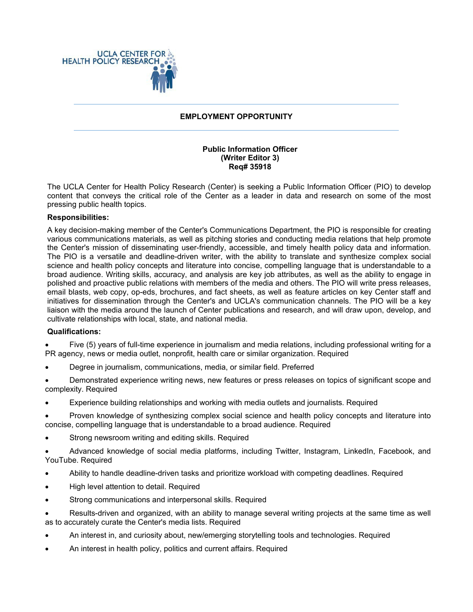

## **EMPLOYMENT OPPORTUNITY**

### **Public Information Officer (Writer Editor 3) Req# 35918**

The UCLA Center for Health Policy Research (Center) is seeking a Public Information Officer (PIO) to develop content that conveys the critical role of the Center as a leader in data and research on some of the most pressing public health topics.

## **Responsibilities:**

A key decision-making member of the Center's Communications Department, the PIO is responsible for creating various communications materials, as well as pitching stories and conducting media relations that help promote the Center's mission of disseminating user-friendly, accessible, and timely health policy data and information. The PIO is a versatile and deadline-driven writer, with the ability to translate and synthesize complex social science and health policy concepts and literature into concise, compelling language that is understandable to a broad audience. Writing skills, accuracy, and analysis are key job attributes, as well as the ability to engage in polished and proactive public relations with members of the media and others. The PIO will write press releases, email blasts, web copy, op-eds, brochures, and fact sheets, as well as feature articles on key Center staff and initiatives for dissemination through the Center's and UCLA's communication channels. The PIO will be a key liaison with the media around the launch of Center publications and research, and will draw upon, develop, and cultivate relationships with local, state, and national media.

### **Qualifications:**

• Five (5) years of full-time experience in journalism and media relations, including professional writing for a PR agency, news or media outlet, nonprofit, health care or similar organization. Required

- Degree in journalism, communications, media, or similar field. Preferred
- Demonstrated experience writing news, new features or press releases on topics of significant scope and complexity. Required
- Experience building relationships and working with media outlets and journalists. Required
- Proven knowledge of synthesizing complex social science and health policy concepts and literature into concise, compelling language that is understandable to a broad audience. Required
- Strong newsroom writing and editing skills. Required
- Advanced knowledge of social media platforms, including Twitter, Instagram, LinkedIn, Facebook, and YouTube. Required
- Ability to handle deadline-driven tasks and prioritize workload with competing deadlines. Required
- High level attention to detail. Required
- Strong communications and interpersonal skills. Required

• Results-driven and organized, with an ability to manage several writing projects at the same time as well as to accurately curate the Center's media lists. Required

- An interest in, and curiosity about, new/emerging storytelling tools and technologies. Required
- An interest in health policy, politics and current affairs. Required